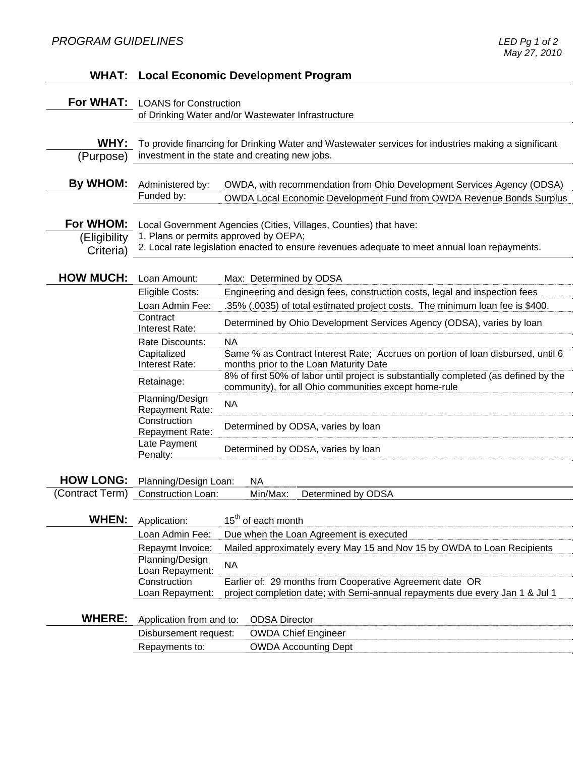# **WHAT: Local Economic Development Program**

|                  | For WHAT: LOANS for Construction                                                                                                       |                                                                                                                                               |
|------------------|----------------------------------------------------------------------------------------------------------------------------------------|-----------------------------------------------------------------------------------------------------------------------------------------------|
|                  | of Drinking Water and/or Wastewater Infrastructure                                                                                     |                                                                                                                                               |
|                  |                                                                                                                                        |                                                                                                                                               |
| WHY:             | To provide financing for Drinking Water and Wastewater services for industries making a significant                                    |                                                                                                                                               |
| (Purpose)        | investment in the state and creating new jobs.                                                                                         |                                                                                                                                               |
|                  |                                                                                                                                        |                                                                                                                                               |
| <b>By WHOM:</b>  | Administered by:                                                                                                                       | OWDA, with recommendation from Ohio Development Services Agency (ODSA)                                                                        |
|                  | Funded by:                                                                                                                             | <b>OWDA Local Economic Development Fund from OWDA Revenue Bonds Surplus</b>                                                                   |
|                  |                                                                                                                                        |                                                                                                                                               |
| For WHOM:        | Local Government Agencies (Cities, Villages, Counties) that have:                                                                      |                                                                                                                                               |
| (Eligibility     | 1. Plans or permits approved by OEPA;<br>2. Local rate legislation enacted to ensure revenues adequate to meet annual loan repayments. |                                                                                                                                               |
| Criteria)        |                                                                                                                                        |                                                                                                                                               |
| <b>HOW MUCH:</b> | Loan Amount:                                                                                                                           | Max: Determined by ODSA                                                                                                                       |
|                  | Eligible Costs:                                                                                                                        | Engineering and design fees, construction costs, legal and inspection fees                                                                    |
|                  | Loan Admin Fee:                                                                                                                        | .35% (.0035) of total estimated project costs. The minimum loan fee is \$400.                                                                 |
|                  | Contract<br>Interest Rate:                                                                                                             | Determined by Ohio Development Services Agency (ODSA), varies by Ioan                                                                         |
|                  | Rate Discounts:                                                                                                                        | <b>NA</b>                                                                                                                                     |
|                  | Capitalized<br>Interest Rate:                                                                                                          | Same % as Contract Interest Rate; Accrues on portion of loan disbursed, until 6<br>months prior to the Loan Maturity Date                     |
|                  | Retainage:                                                                                                                             | 8% of first 50% of labor until project is substantially completed (as defined by the<br>community), for all Ohio communities except home-rule |
|                  | Planning/Design<br>Repayment Rate:                                                                                                     | <b>NA</b>                                                                                                                                     |
|                  | Construction<br><b>Repayment Rate:</b>                                                                                                 | Determined by ODSA, varies by loan                                                                                                            |
|                  | Late Payment<br>Penalty:                                                                                                               | Determined by ODSA, varies by loan                                                                                                            |
| <b>HOW LONG:</b> | Planning/Design Loan:                                                                                                                  | <b>NA</b>                                                                                                                                     |
| (Contract Term)  | <b>Construction Loan:</b>                                                                                                              | Min/Max:<br>Determined by ODSA                                                                                                                |
|                  |                                                                                                                                        |                                                                                                                                               |
| <b>WHEN:</b>     | Application:                                                                                                                           | 15 <sup>th</sup> of each month                                                                                                                |
|                  | Loan Admin Fee:                                                                                                                        | Due when the Loan Agreement is executed                                                                                                       |
|                  | Repaymt Invoice:                                                                                                                       | Mailed approximately every May 15 and Nov 15 by OWDA to Loan Recipients                                                                       |
|                  | Planning/Design                                                                                                                        | <b>NA</b>                                                                                                                                     |
|                  | Loan Repayment:<br>Construction                                                                                                        | Earlier of: 29 months from Cooperative Agreement date OR                                                                                      |
|                  | Loan Repayment:                                                                                                                        | project completion date; with Semi-annual repayments due every Jan 1 & Jul 1                                                                  |
|                  |                                                                                                                                        |                                                                                                                                               |
| <b>WHERE:</b>    | Application from and to:<br><b>ODSA Director</b>                                                                                       |                                                                                                                                               |
|                  | Disbursement request:                                                                                                                  | <b>OWDA Chief Engineer</b>                                                                                                                    |
|                  | Repayments to:                                                                                                                         | <b>OWDA Accounting Dept</b>                                                                                                                   |